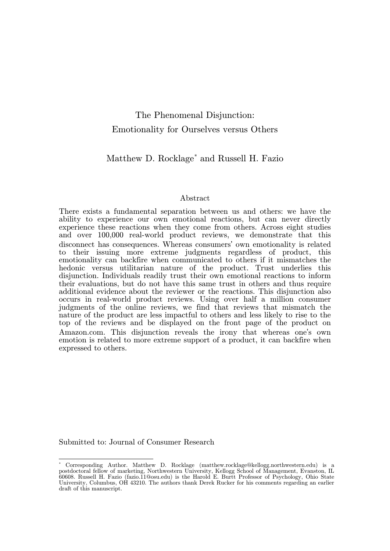# The Phenomenal Disjunction: Emotionality for Ourselves versus Others

# Matthew D. Rocklage[\\*](#page-0-0) and Russell H. Fazio

### Abstract

There exists a fundamental separation between us and others: we have the ability to experience our own emotional reactions, but can never directly experience these reactions when they come from others. Across eight studies and over 100,000 real-world product reviews, we demonstrate that this disconnect has consequences. Whereas consumers' own emotionality is related to their issuing more extreme judgments regardless of product, this emotionality can backfire when communicated to others if it mismatches the hedonic versus utilitarian nature of the product. Trust underlies this disjunction. Individuals readily trust their own emotional reactions to inform their evaluations, but do not have this same trust in others and thus require additional evidence about the reviewer or the reactions. This disjunction also occurs in real-world product reviews. Using over half a million consumer judgments of the online reviews, we find that reviews that mismatch the nature of the product are less impactful to others and less likely to rise to the top of the reviews and be displayed on the front page of the product on Amazon.com. This disjunction reveals the irony that whereas one's own emotion is related to more extreme support of a product, it can backfire when expressed to others.

Submitted to: Journal of Consumer Research

**.** 

<span id="page-0-0"></span><sup>\*</sup> Corresponding Author. Matthew D. Rocklage (matthew.rocklage@kellogg.northwestern.edu) is a postdoctoral fellow of marketing, Northwestern University, Kellogg School of Management, Evanston, IL 60608. Russell H. Fazio (fazio.11@osu.edu) is the Harold E. Burtt Professor of Psychology, Ohio State University, Columbus, OH 43210. The authors thank Derek Rucker for his comments regarding an earlier draft of this manuscript.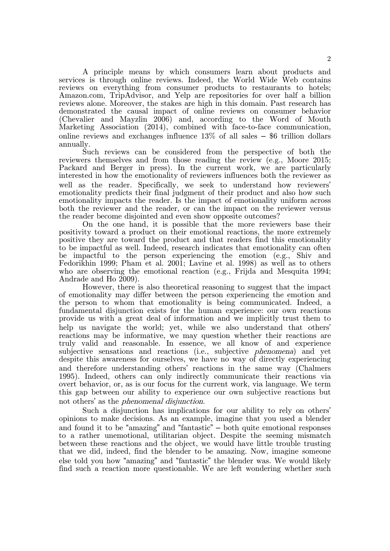A principle means by which consumers learn about products and services is through online reviews. Indeed, the World Wide Web contains reviews on everything from consumer products to restaurants to hotels; Amazon.com, TripAdvisor, and Yelp are repositories for over half a billion reviews alone. Moreover, the stakes are high in this domain. Past research has demonstrated the causal impact of online reviews on consumer behavior (Chevalier and Mayzlin 2006) and, according to the Word of Mouth Marketing Association (2014), combined with face-to-face communication, online reviews and exchanges influence  $13\%$  of all sales  $-$  \$6 trillion dollars annually.

Such reviews can be considered from the perspective of both the reviewers themselves and from those reading the review (e.g., Moore 2015; Packard and Berger in press). In the current work, we are particularly interested in how the emotionality of reviewers influences both the reviewer as well as the reader. Specifically, we seek to understand how reviewers' emotionality predicts their final judgment of their product and also how such emotionality impacts the reader. Is the impact of emotionality uniform across both the reviewer and the reader, or can the impact on the reviewer versus the reader become disjointed and even show opposite outcomes?

On the one hand, it is possible that the more reviewers base their positivity toward a product on their emotional reactions, the more extremely positive they are toward the product and that readers find this emotionality to be impactful as well. Indeed, research indicates that emotionality can often be impactful to the person experiencing the emotion (e.g., Shiv and Fedorikhin 1999; Pham et al. 2001; Lavine et al. 1998) as well as to others who are observing the emotional reaction (e.g., Frijda and Mesquita 1994; Andrade and Ho 2009).

However, there is also theoretical reasoning to suggest that the impact of emotionality may differ between the person experiencing the emotion and the person to whom that emotionality is being communicated. Indeed, a fundamental disjunction exists for the human experience: our own reactions provide us with a great deal of information and we implicitly trust them to help us navigate the world; yet, while we also understand that others' reactions may be informative, we may question whether their reactions are truly valid and reasonable. In essence, we all know of and experience subjective sensations and reactions (i.e., subjective phenomena) and yet despite this awareness for ourselves, we have no way of directly experiencing and therefore understanding others' reactions in the same way (Chalmers 1995). Indeed, others can only indirectly communicate their reactions via overt behavior, or, as is our focus for the current work, via language. We term this gap between our ability to experience our own subjective reactions but not others' as the *phenomenal disjunction*.

Such a disjunction has implications for our ability to rely on others' opinions to make decisions. As an example, imagine that you used a blender and found it to be "amazing" and "fantastic"  $-$  both quite emotional responses to a rather unemotional, utilitarian object. Despite the seeming mismatch between these reactions and the object, we would have little trouble trusting that we did, indeed, find the blender to be amazing. Now, imagine someone else told you how "amazing" and "fantastic" the blender was. We would likely find such a reaction more questionable. We are left wondering whether such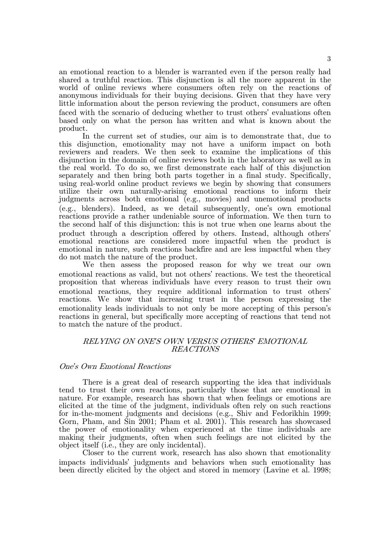an emotional reaction to a blender is warranted even if the person really had shared a truthful reaction. This disjunction is all the more apparent in the world of online reviews where consumers often rely on the reactions of anonymous individuals for their buying decisions. Given that they have very little information about the person reviewing the product, consumers are often faced with the scenario of deducing whether to trust others' evaluations often based only on what the person has written and what is known about the product.

In the current set of studies, our aim is to demonstrate that, due to this disjunction, emotionality may not have a uniform impact on both reviewers and readers. We then seek to examine the implications of this disjunction in the domain of online reviews both in the laboratory as well as in the real world. To do so, we first demonstrate each half of this disjunction separately and then bring both parts together in a final study. Specifically, using real-world online product reviews we begin by showing that consumers utilize their own naturally-arising emotional reactions to inform their judgments across both emotional (e.g., movies) and unemotional products (e.g., blenders). Indeed, as we detail subsequently, one's own emotional reactions provide a rather undeniable source of information. We then turn to the second half of this disjunction: this is not true when one learns about the product through a description offered by others. Instead, although others' emotional reactions are considered more impactful when the product is emotional in nature, such reactions backfire and are less impactful when they do not match the nature of the product.

We then assess the proposed reason for why we treat our own emotional reactions as valid, but not others' reactions. We test the theoretical proposition that whereas individuals have every reason to trust their own emotional reactions, they require additional information to trust others' reactions. We show that increasing trust in the person expressing the emotionality leads individuals to not only be more accepting of this person's reactions in general, but specifically more accepting of reactions that tend not to match the nature of the product.

# RELYING ON ONE*'*S OWN VERSUS OTHERS*'* EMOTIONAL REACTIONS

### One*'*s Own Emotional Reactions

There is a great deal of research supporting the idea that individuals tend to trust their own reactions, particularly those that are emotional in nature. For example, research has shown that when feelings or emotions are elicited at the time of the judgment, individuals often rely on such reactions for in-the-moment judgments and decisions (e.g., Shiv and Fedorikhin 1999; Gorn, Pham, and  $\rm \widetilde{S}$ in 2001; Pham et al. 2001). This research has showcased the power of emotionality when experienced at the time individuals are making their judgments, often when such feelings are not elicited by the object itself (i.e., they are only incidental).

Closer to the current work, research has also shown that emotionality impacts individuals' judgments and behaviors when such emotionality has been directly elicited by the object and stored in memory (Lavine et al. 1998;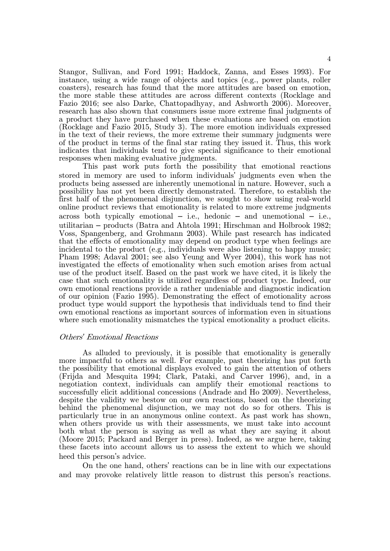Stangor, Sullivan, and Ford 1991; Haddock, Zanna, and Esses 1993). For instance, using a wide range of objects and topics (e.g., power plants, roller coasters), research has found that the more attitudes are based on emotion, the more stable these attitudes are across different contexts (Rocklage and Fazio 2016; see also Darke, Chattopadhyay, and Ashworth 2006). Moreover, research has also shown that consumers issue more extreme final judgments of a product they have purchased when these evaluations are based on emotion (Rocklage and Fazio 2015, Study 3). The more emotion individuals expressed in the text of their reviews, the more extreme their summary judgments were of the product in terms of the final star rating they issued it. Thus, this work indicates that individuals tend to give special significance to their emotional responses when making evaluative judgments.

This past work puts forth the possibility that emotional reactions stored in memory are used to inform individuals' judgments even when the products being assessed are inherently unemotional in nature. However, such a possibility has not yet been directly demonstrated. Therefore, to establish the first half of the phenomenal disjunction, we sought to show using real-world online product reviews that emotionality is related to more extreme judgments across both typically emotional  $-$  i.e., hedonic  $-$  and unemotional  $-$  i.e., utilitarian – products (Batra and Ahtola 1991; Hirschman and Holbrook 1982; Voss, Spangenberg, and Grohmann 2003). While past research has indicated that the effects of emotionality may depend on product type when feelings are incidental to the product (e.g., individuals were also listening to happy music; Pham 1998; Adaval 2001; see also Yeung and Wyer 2004), this work has not investigated the effects of emotionality when such emotion arises from actual use of the product itself. Based on the past work we have cited, it is likely the case that such emotionality is utilized regardless of product type. Indeed, our own emotional reactions provide a rather undeniable and diagnostic indication of our opinion (Fazio 1995). Demonstrating the effect of emotionality across product type would support the hypothesis that individuals tend to find their own emotional reactions as important sources of information even in situations where such emotionality mismatches the typical emotionality a product elicits.

### Others*'* Emotional Reactions

As alluded to previously, it is possible that emotionality is generally more impactful to others as well. For example, past theorizing has put forth the possibility that emotional displays evolved to gain the attention of others (Frijda and Mesquita 1994; Clark, Pataki, and Carver 1996), and, in a negotiation context, individuals can amplify their emotional reactions to successfully elicit additional concessions (Andrade and Ho 2009). Nevertheless, despite the validity we bestow on our own reactions, based on the theorizing behind the phenomenal disjunction, we may not do so for others. This is particularly true in an anonymous online context. As past work has shown, when others provide us with their assessments, we must take into account both what the person is saying as well as what they are saying it about (Moore 2015; Packard and Berger in press). Indeed, as we argue here, taking these facets into account allows us to assess the extent to which we should heed this person's advice.

On the one hand, others' reactions can be in line with our expectations and may provoke relatively little reason to distrust this person's reactions.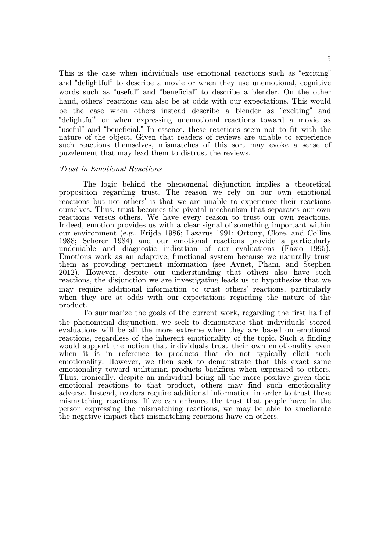This is the case when individuals use emotional reactions such as "exciting" and "delightful" to describe a movie or when they use unemotional, cognitive words such as "useful" and "beneficial" to describe a blender. On the other hand, others' reactions can also be at odds with our expectations. This would be the case when others instead describe a blender as "exciting" and "delightful" or when expressing unemotional reactions toward a movie as "useful" and "beneficial." In essence, these reactions seem not to fit with the nature of the object. Given that readers of reviews are unable to experience such reactions themselves, mismatches of this sort may evoke a sense of puzzlement that may lead them to distrust the reviews.

### Trust in Emotional Reactions

The logic behind the phenomenal disjunction implies a theoretical proposition regarding trust. The reason we rely on our own emotional reactions but not others' is that we are unable to experience their reactions ourselves. Thus, trust becomes the pivotal mechanism that separates our own reactions versus others. We have every reason to trust our own reactions. Indeed, emotion provides us with a clear signal of something important within our environment (e.g., Frijda 1986; Lazarus 1991; Ortony, Clore, and Collins 1988; Scherer 1984) and our emotional reactions provide a particularly undeniable and diagnostic indication of our evaluations (Fazio 1995). Emotions work as an adaptive, functional system because we naturally trust them as providing pertinent information (see Avnet, Pham, and Stephen 2012). However, despite our understanding that others also have such reactions, the disjunction we are investigating leads us to hypothesize that we may require additional information to trust others' reactions, particularly when they are at odds with our expectations regarding the nature of the product.

To summarize the goals of the current work, regarding the first half of the phenomenal disjunction, we seek to demonstrate that individuals' stored evaluations will be all the more extreme when they are based on emotional reactions, regardless of the inherent emotionality of the topic. Such a finding would support the notion that individuals trust their own emotionality even when it is in reference to products that do not typically elicit such emotionality. However, we then seek to demonstrate that this exact same emotionality toward utilitarian products backfires when expressed to others. Thus, ironically, despite an individual being all the more positive given their emotional reactions to that product, others may find such emotionality adverse. Instead, readers require additional information in order to trust these mismatching reactions. If we can enhance the trust that people have in the person expressing the mismatching reactions, we may be able to ameliorate the negative impact that mismatching reactions have on others.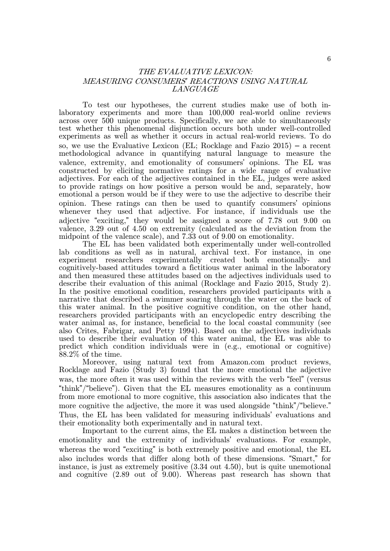# THE EVALUATIVE LEXICON: MEASURING CONSUMERS*'* REACTIONS USING NATURAL LANGUAGE

To test our hypotheses, the current studies make use of both inlaboratory experiments and more than 100,000 real-world online reviews across over 500 unique products. Specifically, we are able to simultaneously test whether this phenomenal disjunction occurs both under well-controlled experiments as well as whether it occurs in actual real-world reviews. To do so, we use the Evaluative Lexicon (EL; Rocklage and Fazio 2015) – a recent methodological advance in quantifying natural language to measure the valence, extremity, and emotionality of consumers' opinions. The EL was constructed by eliciting normative ratings for a wide range of evaluative adjectives. For each of the adjectives contained in the EL, judges were asked to provide ratings on how positive a person would be and, separately, how emotional a person would be if they were to use the adjective to describe their opinion. These ratings can then be used to quantify consumers' opinions whenever they used that adjective. For instance, if individuals use the adjective "exciting," they would be assigned a score of 7.78 out 9.00 on valence, 3.29 out of 4.50 on extremity (calculated as the deviation from the midpoint of the valence scale), and 7.33 out of 9.00 on emotionality.

The EL has been validated both experimentally under well-controlled lab conditions as well as in natural, archival text. For instance, in one experiment researchers experimentally created both emotionally- and cognitively-based attitudes toward a fictitious water animal in the laboratory and then measured these attitudes based on the adjectives individuals used to describe their evaluation of this animal (Rocklage and Fazio 2015, Study 2). In the positive emotional condition, researchers provided participants with a narrative that described a swimmer soaring through the water on the back of this water animal. In the positive cognitive condition, on the other hand, researchers provided participants with an encyclopedic entry describing the water animal as, for instance, beneficial to the local coastal community (see also Crites, Fabrigar, and Petty 1994). Based on the adjectives individuals used to describe their evaluation of this water animal, the EL was able to predict which condition individuals were in (e.g., emotional or cognitive) 88.2% of the time.

Moreover, using natural text from Amazon.com product reviews, Rocklage and Fazio (Study 3) found that the more emotional the adjective was, the more often it was used within the reviews with the verb "feel" (versus "think"/"believe"). Given that the EL measures emotionality as a continuum from more emotional to more cognitive, this association also indicates that the more cognitive the adjective, the more it was used alongside "think"/"believe." Thus, the EL has been validated for measuring individuals' evaluations and their emotionality both experimentally and in natural text.

Important to the current aims, the EL makes a distinction between the emotionality and the extremity of individuals' evaluations. For example, whereas the word "exciting" is both extremely positive and emotional, the EL also includes words that differ along both of these dimensions. "Smart," for instance, is just as extremely positive (3.34 out 4.50), but is quite unemotional and cognitive (2.89 out of 9.00). Whereas past research has shown that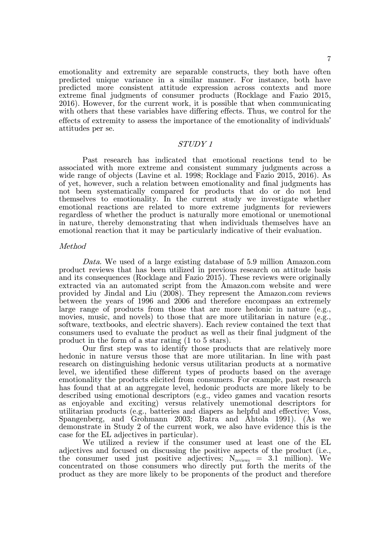emotionality and extremity are separable constructs, they both have often predicted unique variance in a similar manner. For instance, both have predicted more consistent attitude expression across contexts and more extreme final judgments of consumer products (Rocklage and Fazio 2015, 2016). However, for the current work, it is possible that when communicating with others that these variables have differing effects. Thus, we control for the effects of extremity to assess the importance of the emotionality of individuals' attitudes per se.

### STUDY 1

Past research has indicated that emotional reactions tend to be associated with more extreme and consistent summary judgments across a wide range of objects (Lavine et al. 1998; Rocklage and Fazio 2015, 2016). As of yet, however, such a relation between emotionality and final judgments has not been systematically compared for products that do or do not lend themselves to emotionality. In the current study we investigate whether emotional reactions are related to more extreme judgments for reviewers regardless of whether the product is naturally more emotional or unemotional in nature, thereby demonstrating that when individuals themselves have an emotional reaction that it may be particularly indicative of their evaluation.

### Method

Data. We used of a large existing database of 5.9 million Amazon.com product reviews that has been utilized in previous research on attitude basis and its consequences (Rocklage and Fazio 2015). These reviews were originally extracted via an automated script from the Amazon.com website and were provided by Jindal and Liu (2008). They represent the Amazon.com reviews between the years of 1996 and 2006 and therefore encompass an extremely large range of products from those that are more hedonic in nature  $(e.g.,)$ movies, music, and novels) to those that are more utilitarian in nature (e.g., software, textbooks, and electric shavers). Each review contained the text that consumers used to evaluate the product as well as their final judgment of the product in the form of a star rating (1 to 5 stars).

Our first step was to identify those products that are relatively more hedonic in nature versus those that are more utilitarian. In line with past research on distinguishing hedonic versus utilitarian products at a normative level, we identified these different types of products based on the average emotionality the products elicited from consumers. For example, past research has found that at an aggregate level, hedonic products are more likely to be described using emotional descriptors (e.g., video games and vacation resorts as enjoyable and exciting) versus relatively unemotional descriptors for utilitarian products (e.g., batteries and diapers as helpful and effective; Voss, Spangenberg, and Grohmann 2003; Batra and Ahtola 1991). (As we demonstrate in Study 2 of the current work, we also have evidence this is the case for the EL adjectives in particular).

We utilized a review if the consumer used at least one of the EL adjectives and focused on discussing the positive aspects of the product (i.e., the consumer used just positive adjectives;  $N_{\text{reviews}} = 3.1$  million). We concentrated on those consumers who directly put forth the merits of the product as they are more likely to be proponents of the product and therefore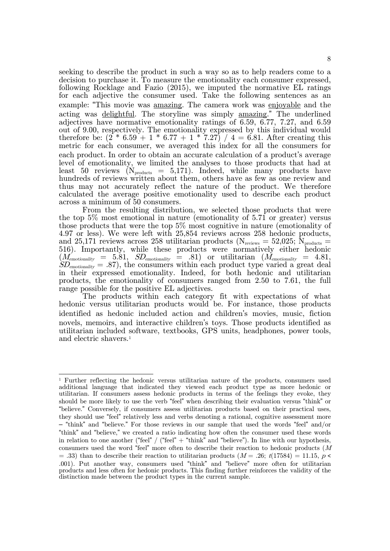seeking to describe the product in such a way so as to help readers come to a decision to purchase it. To measure the emotionality each consumer expressed, following Rocklage and Fazio (2015), we imputed the normative EL ratings for each adjective the consumer used. Take the following sentences as an example: "This movie was amazing. The camera work was enjoyable and the acting was delightful. The storyline was simply amazing." The underlined adjectives have normative emotionality ratings of 6.59, 6.77, 7.27, and 6.59 out of 9.00, respectively. The emotionality expressed by this individual would therefore be:  $(2 * 6.59 + 1 * 6.77 + 1 * 7.27) / 4 = 6.81$ . After creating this metric for each consumer, we averaged this index for all the consumers for each product. In order to obtain an accurate calculation of a product's average level of emotionality, we limited the analyses to those products that had at least 50 reviews  $(N_{\text{products}} = 5,171)$ . Indeed, while many products have hundreds of reviews written about them, others have as few as one review and thus may not accurately reflect the nature of the product. We therefore calculated the average positive emotionality used to describe each product across a minimum of 50 consumers.

From the resulting distribution, we selected those products that were the top 5% most emotional in nature (emotionality of 5.71 or greater) versus those products that were the top 5% most cognitive in nature (emotionality of 4.97 or less). We were left with 25,854 reviews across 258 hedonic products, and 25,171 reviews across 258 utilitarian products ( $N_{\text{reviews}} = 52,025$ ;  $N_{\text{products}} =$ 516). Importantly, while these products were normatively either hedonic  $(M_{emotionality} = 5.81, SD_{emotionality} = .81)$  or utilitarian  $(M_{emotionality} = 4.81,$  $SD_{\text{emotionality}} = .87$ , the consumers within each product type varied a great deal in their expressed emotionality. Indeed, for both hedonic and utilitarian products, the emotionality of consumers ranged from 2.50 to 7.61, the full range possible for the positive EL adjectives.

The products within each category fit with expectations of what hedonic versus utilitarian products would be. For instance, those products identified as hedonic included action and children's movies, music, fiction novels, memoirs, and interactive children's toys. Those products identified as utilitarian included software, textbooks, GPS units, headphones, power tools, and electric shavers.[1](#page-7-0)

<span id="page-7-0"></span>**<sup>.</sup>** <sup>1</sup> Further reflecting the hedonic versus utilitarian nature of the products, consumers used additional language that indicated they viewed each product type as more hedonic or utilitarian. If consumers assess hedonic products in terms of the feelings they evoke, they should be more likely to use the verb "feel" when describing their evaluation versus "think" or "believe." Conversely, if consumers assess utilitarian products based on their practical uses, they should use "feel" relatively less and verbs denoting a rational, cognitive assessment more – "think" and "believe." For those reviews in our sample that used the words "feel" and/or "think" and "believe," we created a ratio indicating how often the consumer used these words in relation to one another ("feel" / ("feel" + "think" and "believe"). In line with our hypothesis, consumers used the word "feel" more often to describe their reaction to hedonic products  $(M)$  $=$  .33) than to describe their reaction to utilitarian products ( $M = .26$ ;  $t(17584) = 11.15$ ,  $p \le$ .001). Put another way, consumers used "think" and "believe" more often for utilitarian products and less often for hedonic products. This finding further reinforces the validity of the distinction made between the product types in the current sample.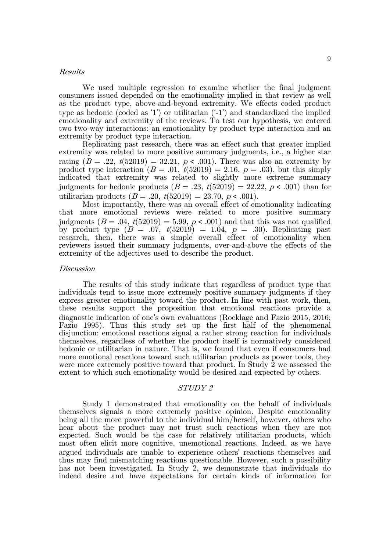### Results

We used multiple regression to examine whether the final judgment consumers issued depended on the emotionality implied in that review as well as the product type, above-and-beyond extremity. We effects coded product type as hedonic (coded as '1') or utilitarian ('-1') and standardized the implied emotionality and extremity of the reviews. To test our hypothesis, we entered two two-way interactions: an emotionality by product type interaction and an extremity by product type interaction.

Replicating past research, there was an effect such that greater implied extremity was related to more positive summary judgments, i.e., a higher star rating  $(B = .22, t(52019) = 32.21, p < .001)$ . There was also an extremity by product type interaction  $(B = .01, t(52019) = 2.16, p = .03)$ , but this simply indicated that extremity was related to slightly more extreme summary judgments for hedonic products  $(B = .23, t(52019) = 22.22, p < .001)$  than for utilitarian products  $(B = .20, t(52019) = 23.70, p < .001)$ .

Most importantly, there was an overall effect of emotionality indicating that more emotional reviews were related to more positive summary judgments ( $B = .04$ ,  $t(52019) = 5.99$ ,  $p < .001$ ) and that this was not qualified by product type  $(B = .07, t(52019) = 1.04, p = .30)$ . Replicating past research, then, there was a simple overall effect of emotionality when reviewers issued their summary judgments, over-and-above the effects of the extremity of the adjectives used to describe the product.

### **Discussion**

The results of this study indicate that regardless of product type that individuals tend to issue more extremely positive summary judgments if they express greater emotionality toward the product. In line with past work, then, these results support the proposition that emotional reactions provide a diagnostic indication of one's own evaluations (Rocklage and Fazio 2015, 2016; Fazio 1995). Thus this study set up the first half of the phenomenal disjunction: emotional reactions signal a rather strong reaction for individuals themselves, regardless of whether the product itself is normatively considered hedonic or utilitarian in nature. That is, we found that even if consumers had more emotional reactions toward such utilitarian products as power tools, they were more extremely positive toward that product. In Study 2 we assessed the extent to which such emotionality would be desired and expected by others.

### STUDY 2

Study 1 demonstrated that emotionality on the behalf of individuals themselves signals a more extremely positive opinion. Despite emotionality being all the more powerful to the individual him/herself, however, others who hear about the product may not trust such reactions when they are not expected. Such would be the case for relatively utilitarian products, which most often elicit more cognitive, unemotional reactions. Indeed, as we have argued individuals are unable to experience others' reactions themselves and thus may find mismatching reactions questionable. However, such a possibility has not been investigated. In Study 2, we demonstrate that individuals do indeed desire and have expectations for certain kinds of information for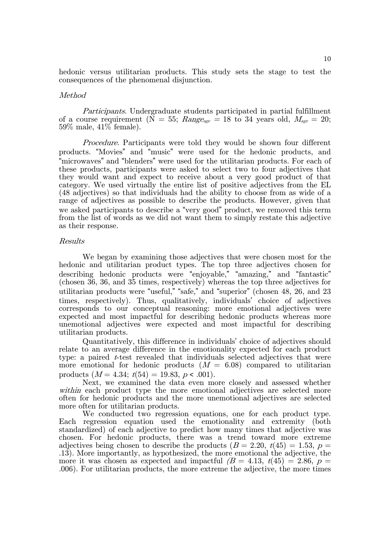hedonic versus utilitarian products. This study sets the stage to test the consequences of the phenomenal disjunction.

### Method

Participants. Undergraduate students participated in partial fulfillment of a course requirement ( $\tilde{N} = 55$ ;  $Range_{age} = 18$  to 34 years old,  $M_{age} = 20$ ;  $59\%$  male,  $41\%$  female).

Procedure. Participants were told they would be shown four different products. "Movies" and "music" were used for the hedonic products, and "microwaves" and "blenders" were used for the utilitarian products. For each of these products, participants were asked to select two to four adjectives that they would want and expect to receive about a very good product of that category. We used virtually the entire list of positive adjectives from the EL (48 adjectives) so that individuals had the ability to choose from as wide of a range of adjectives as possible to describe the products. However, given that we asked participants to describe a "very good" product, we removed this term from the list of words as we did not want them to simply restate this adjective as their response.

# Results

We began by examining those adjectives that were chosen most for the hedonic and utilitarian product types. The top three adjectives chosen for describing hedonic products were "enjoyable," "amazing," and "fantastic" (chosen 36, 36, and 35 times, respectively) whereas the top three adjectives for utilitarian products were "useful," "safe," and "superior" (chosen 48, 26, and 23 times, respectively). Thus, qualitatively, individuals' choice of adjectives corresponds to our conceptual reasoning: more emotional adjectives were expected and most impactful for describing hedonic products whereas more unemotional adjectives were expected and most impactful for describing utilitarian products.

Quantitatively, this difference in individuals' choice of adjectives should relate to an average difference in the emotionality expected for each product type: a paired  $t$ -test revealed that individuals selected adjectives that were more emotional for hedonic products  $(M = 6.08)$  compared to utilitarian products  $(M = 4.34; t(54) = 19.83, p < .001)$ .

Next, we examined the data even more closely and assessed whether within each product type the more emotional adjectives are selected more often for hedonic products and the more unemotional adjectives are selected more often for utilitarian products.

We conducted two regression equations, one for each product type. Each regression equation used the emotionality and extremity (both standardized) of each adjective to predict how many times that adjective was chosen. For hedonic products, there was a trend toward more extreme adjectives being chosen to describe the products  $(B = 2.20, t(45) = 1.53, p =$ .13). More importantly, as hypothesized, the more emotional the adjective, the more it was chosen as expected and impactful  $(B = 4.13, t(45) = 2.86, p =$ .006). For utilitarian products, the more extreme the adjective, the more times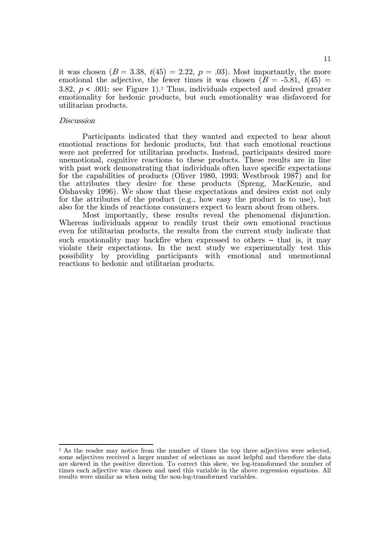it was chosen  $(B = 3.38, t(45) = 2.22, p = .03)$ . Most importantly, the more emotional the adjective, the fewer times it was chosen  $(B = -5.81, t(45))$ 3.8[2](#page-10-0),  $p < .001$ ; see Figure 1).<sup>2</sup> Thus, individuals expected and desired greater emotionality for hedonic products, but such emotionality was disfavored for utilitarian products.

### Discussion

<u>.</u>

Participants indicated that they wanted and expected to hear about emotional reactions for hedonic products, but that such emotional reactions were not preferred for utilitarian products. Instead, participants desired more unemotional, cognitive reactions to these products. These results are in line with past work demonstrating that individuals often have specific expectations for the capabilities of products (Oliver 1980, 1993; Westbrook 1987) and for the attributes they desire for these products (Spreng, MacKenzie, and Olshavsky 1996). We show that these expectations and desires exist not only for the attributes of the product (e.g., how easy the product is to use), but also for the kinds of reactions consumers expect to learn about from others.

Most importantly, these results reveal the phenomenal disjunction. Whereas individuals appear to readily trust their own emotional reactions even for utilitarian products, the results from the current study indicate that such emotionality may backfire when expressed to others – that is, it may violate their expectations. In the next study we experimentally test this possibility by providing participants with emotional and unemotional reactions to hedonic and utilitarian products.

<span id="page-10-0"></span><sup>&</sup>lt;sup>2</sup> As the reader may notice from the number of times the top three adjectives were selected, some adjectives received a larger number of selections as most helpful and therefore the data are skewed in the positive direction. To correct this skew, we log-transformed the number of times each adjective was chosen and used this variable in the above regression equations. All results were similar as when using the non-log-transformed variables.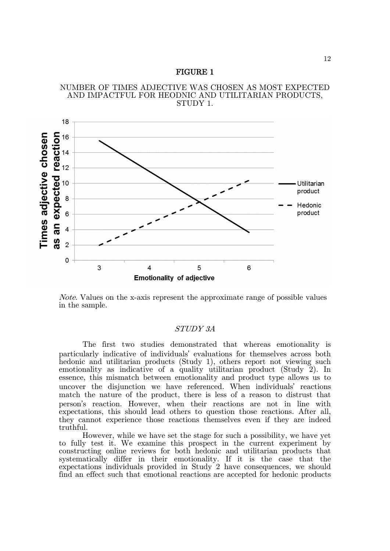

NUMBER OF TIMES ADJECTIVE WAS CHOSEN AS MOST EXPECTED

Note. Values on the x-axis represent the approximate range of possible values in the sample.

# STUDY 3A

The first two studies demonstrated that whereas emotionality is particularly indicative of individuals' evaluations for themselves across both hedonic and utilitarian products (Study 1), others report not viewing such emotionality as indicative of a quality utilitarian product (Study 2). In essence, this mismatch between emotionality and product type allows us to uncover the disjunction we have referenced. When individuals' reactions match the nature of the product, there is less of a reason to distrust that person's reaction. However, when their reactions are not in line with expectations, this should lead others to question those reactions. After all, they cannot experience those reactions themselves even if they are indeed truthful.

However, while we have set the stage for such a possibility, we have yet to fully test it. We examine this prospect in the current experiment by constructing online reviews for both hedonic and utilitarian products that systematically differ in their emotionality. If it is the case that the expectations individuals provided in Study 2 have consequences, we should find an effect such that emotional reactions are accepted for hedonic products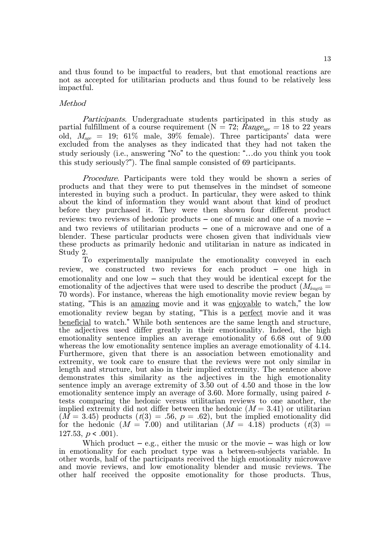and thus found to be impactful to readers, but that emotional reactions are not as accepted for utilitarian products and thus found to be relatively less impactful.

### Method

Participants. Undergraduate students participated in this study as partial fulfillment of a course requirement ( $N = 72$ ;  $\bar{R}$ ange<sub>age</sub> = 18 to 22 years old,  $M_{\text{age}} = 19$ ; 61% male, 39% female). Three participants' data were excluded from the analyses as they indicated that they had not taken the study seriously (i.e., answering "No" to the question: "…do you think you took this study seriously?"). The final sample consisted of 69 participants.

Procedure. Participants were told they would be shown a series of products and that they were to put themselves in the mindset of someone interested in buying such a product. In particular, they were asked to think about the kind of information they would want about that kind of product before they purchased it. They were then shown four different product reviews: two reviews of hedonic products – one of music and one of a movie – and two reviews of utilitarian products – one of a microwave and one of a blender. These particular products were chosen given that individuals view these products as primarily hedonic and utilitarian in nature as indicated in Study 2.

To experimentally manipulate the emotionality conveyed in each review, we constructed two reviews for each product – one high in emotionality and one low – such that they would be identical except for the emotionality of the adjectives that were used to describe the product  $(M_{length} =$ 70 words). For instance, whereas the high emotionality movie review began by stating, "This is an amazing movie and it was enjoyable to watch," the low emotionality review began by stating, "This is a perfect movie and it was beneficial to watch." While both sentences are the same length and structure, the adjectives used differ greatly in their emotionality. Indeed, the high emotionality sentence implies an average emotionality of 6.68 out of 9.00 whereas the low emotionality sentence implies an average emotionality of 4.14. Furthermore, given that there is an association between emotionality and extremity, we took care to ensure that the reviews were not only similar in length and structure, but also in their implied extremity. The sentence above demonstrates this similarity as the adjectives in the high emotionality sentence imply an average extremity of 3.50 out of 4.50 and those in the low emotionality sentence imply an average of 3.60. More formally, using paired  $t$ tests comparing the hedonic versus utilitarian reviews to one another, the implied extremity did not differ between the hedonic  $(M = 3.41)$  or utilitarian  $(M = 3.45)$  products  $(t(3) = .56, p = .62)$ , but the implied emotionality did for the hedonic  $(M = 7.00)$  and utilitarian  $(M = 4.18)$  products  $(t(3) =$ 127.53,  $p < .001$ ).

Which product  $-e.g.,$  either the music or the movie  $-\text{ was high or low}$ in emotionality for each product type was a between-subjects variable. In other words, half of the participants received the high emotionality microwave and movie reviews, and low emotionality blender and music reviews. The other half received the opposite emotionality for those products. Thus,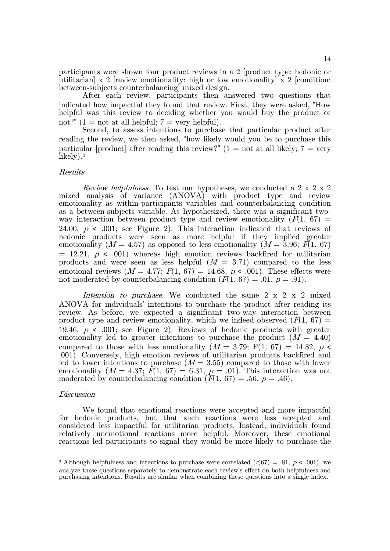participants were shown four product reviews in a 2 [product type: hedonic or utilitarian] x 2 [review emotionality: high or low emotionality] x 2 [condition: between-subjects counterbalancing] mixed design.

After each review, participants then answered two questions that indicated how impactful they found that review. First, they were asked, "How helpful was this review to deciding whether you would buy the product or not?"  $(1 = not at all helpful; 7 = very helpful).$ 

Second, to assess intentions to purchase that particular product after reading the review, we then asked, "how likely would you be to purchase this particular [product] after reading this review?"  $(1 = not at all likely; 7 = very$ likely).[3](#page-13-0)

### Results

Review helpfulness. To test our hypotheses, we conducted a 2 x 2 x 2 mixed analysis of variance (ANOVA) with product type and review emotionality as within-participants variables and counterbalancing condition as a between-subjects variable. As hypothesized, there was a significant twoway interaction between product type and review emotionality  $(F(1, 67)) =$ 24.00,  $p \le 0.001$ ; see Figure 2). This interaction indicated that reviews of hedonic products were seen as more helpful if they implied greater emotionality  $(M = 4.57)$  as opposed to less emotionality  $(M = 3.96; F(1, 67))$  $= 12.21, p \leq .001$ ) whereas high emotion reviews backfired for utilitarian products and were seen as less helpful  $(M = 3.71)$  compared to the less emotional reviews  $(M = 4.77; F(1, 67) = 14.68, p < .001)$ . These effects were not moderated by counterbalancing condition  $(F(1, 67) = .01, p = .91)$ .

Intention to purchase. We conducted the same  $2 \times 2 \times 2$  mixed ANOVA for individuals' intentions to purchase the product after reading its review. As before, we expected a significant two-way interaction between product type and review emotionality, which we indeed observed  $(F(1, 67) =$ 19.46,  $p \le 0.001$ ; see Figure 2). Reviews of hedonic products with greater emotionality led to greater intentions to purchase the product  $(M = 4.40)$ compared to those with less emotionality  $(M = 3.79; F(1, 67) = 14.82, p \leq$ .001). Conversely, high emotion reviews of utilitarian products backfired and led to lower intentions to purchase  $(M = 3.55)$  compared to those with lower emotionality  $(M = 4.37; F(1, 67) = 6.31, p = .01)$ . This interaction was not moderated by counterbalancing condition  $(F(1, 67) = .56, p = .46)$ .

### Discussion

 $\overline{\phantom{a}}$ 

We found that emotional reactions were accepted and more impactful for hedonic products, but that such reactions were less accepted and considered less impactful for utilitarian products. Instead, individuals found relatively unemotional reactions more helpful. Moreover, these emotional reactions led participants to signal they would be more likely to purchase the

<span id="page-13-0"></span><sup>&</sup>lt;sup>3</sup> Although helpfulness and intentions to purchase were correlated ( $r(67) = .81$ ,  $p < .001$ ), we analyze these questions separately to demonstrate each review's effect on both helpfulness and purchasing intentions. Results are similar when combining these questions into a single index.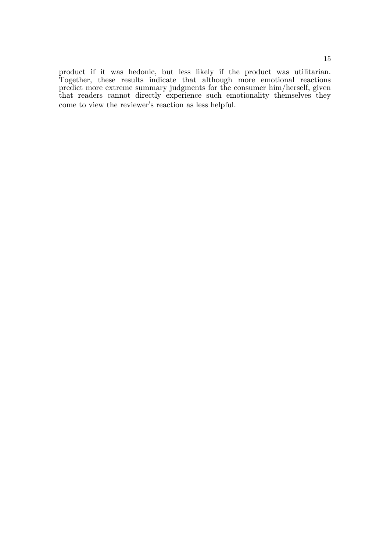product if it was hedonic, but less likely if the product was utilitarian. Together, these results indicate that although more emotional reactions predict more extreme summary judgments for the consumer him/herself, given that readers cannot directly experience such emotionality themselves they come to view the reviewer's reaction as less helpful.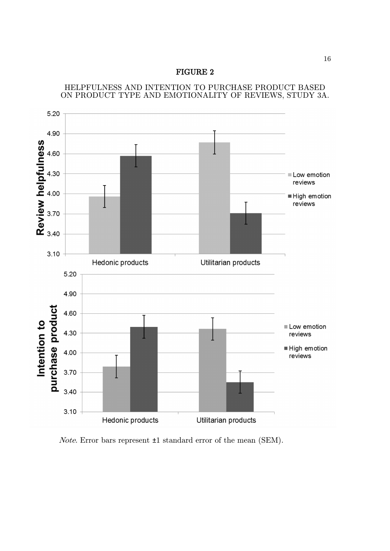

Note. Error bars represent ±1 standard error of the mean (SEM).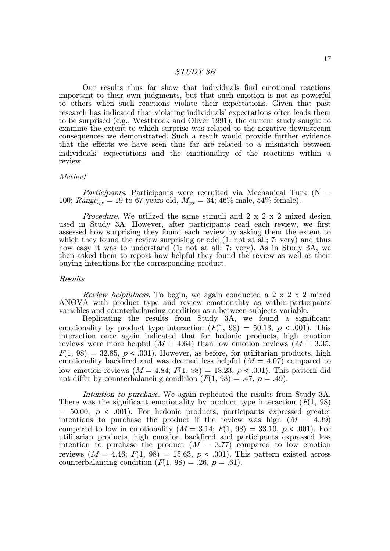### STUDY 3B

Our results thus far show that individuals find emotional reactions important to their own judgments, but that such emotion is not as powerful to others when such reactions violate their expectations. Given that past research has indicated that violating individuals' expectations often leads them to be surprised (e.g., Westbrook and Oliver 1991), the current study sought to examine the extent to which surprise was related to the negative downstream consequences we demonstrated. Such a result would provide further evidence that the effects we have seen thus far are related to a mismatch between individuals' expectations and the emotionality of the reactions within a review.

### Method

*Participants.* Participants were recruited via Mechanical Turk  $(N =$ 100;  $Range_{age} = 19$  to 67 years old,  $M_{age} = 34$ ; 46% male, 54% female).

*Procedure.* We utilized the same stimuli and  $2 \times 2 \times 2$  mixed design used in Study 3A. However, after participants read each review, we first assessed how surprising they found each review by asking them the extent to which they found the review surprising or odd  $(1: \text{not at all}; 7: \text{very})$  and thus how easy it was to understand (1: not at all; 7: very). As in Study 3A, we then asked them to report how helpful they found the review as well as their buying intentions for the corresponding product.

### Results

Review helpfulness. To begin, we again conducted a  $2 \times 2 \times 2$  mixed ANOVA with product type and review emotionality as within-participants variables and counterbalancing condition as a between-subjects variable.

Replicating the results from Study 3A, we found a significant emotionality by product type interaction  $(F(1, 98) = 50.13, p < .001)$ . This interaction once again indicated that for hedonic products, high emotion reviews were more helpful  $(M = 4.64)$  than low emotion reviews  $(M = 3.35;$  $F(1, 98) = 32.85, p < .001$ . However, as before, for utilitarian products, high emotionality backfired and was deemed less helpful  $(M = 4.07)$  compared to low emotion reviews  $(M = 4.84; F(1, 98) = 18.23, p < .001)$ . This pattern did not differ by counterbalancing condition  $(F(1, 98) = .47, p = .49)$ .

Intention to purchase. We again replicated the results from Study 3A. There was the significant emotionality by product type interaction  $(F(1, 98))$  $= 50.00, p \leq .001$ . For hedonic products, participants expressed greater intentions to purchase the product if the review was high  $(M = 4.39)$ compared to low in emotionality  $(M = 3.14; F(1, 98) = 33.10, p < .001)$ . For utilitarian products, high emotion backfired and participants expressed less intention to purchase the product  $(M = 3.77)$  compared to low emotion reviews  $(M = 4.46; F(1, 98) = 15.63, p < .001)$ . This pattern existed across counterbalancing condition  $(F(1, 98) = .26, p = .61)$ .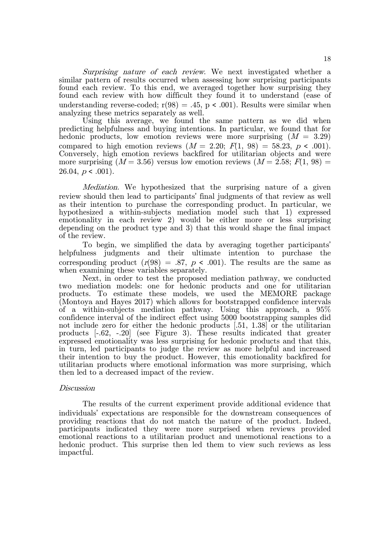Surprising nature of each review. We next investigated whether a similar pattern of results occurred when assessing how surprising participants found each review. To this end, we averaged together how surprising they found each review with how difficult they found it to understand (ease of understanding reverse-coded;  $r(98) = .45$ ,  $p < .001$ ). Results were similar when analyzing these metrics separately as well.

Using this average, we found the same pattern as we did when predicting helpfulness and buying intentions. In particular, we found that for hedonic products, low emotion reviews were more surprising  $(M = 3.29)$ compared to high emotion reviews  $(M = 2.20; F(1, 98) = 58.23, p < .001)$ . Conversely, high emotion reviews backfired for utilitarian objects and were more surprising  $(M = 3.56)$  versus low emotion reviews  $(M = 2.58; F(1, 98))$ 26.04,  $p < .001$ ).

Mediation. We hypothesized that the surprising nature of a given review should then lead to participants' final judgments of that review as well as their intention to purchase the corresponding product. In particular, we hypothesized a within-subjects mediation model such that 1) expressed emotionality in each review 2) would be either more or less surprising depending on the product type and 3) that this would shape the final impact of the review.

To begin, we simplified the data by averaging together participants' helpfulness judgments and their ultimate intention to purchase the corresponding product  $(r(98) = .87, p < .001)$ . The results are the same as when examining these variables separately.

Next, in order to test the proposed mediation pathway, we conducted two mediation models: one for hedonic products and one for utilitarian products. To estimate these models, we used the MEMORE package (Montoya and Hayes 2017) which allows for bootstrapped confidence intervals of a within-subjects mediation pathway. Using this approach, a 95% confidence interval of the indirect effect using 5000 bootstrapping samples did not include zero for either the hedonic products [.51, 1.38] or the utilitarian products [-.62, -.20] (see Figure 3). These results indicated that greater expressed emotionality was less surprising for hedonic products and that this, in turn, led participants to judge the review as more helpful and increased their intention to buy the product. However, this emotionality backfired for utilitarian products where emotional information was more surprising, which then led to a decreased impact of the review.

### Discussion

The results of the current experiment provide additional evidence that individuals' expectations are responsible for the downstream consequences of providing reactions that do not match the nature of the product. Indeed, participants indicated they were more surprised when reviews provided emotional reactions to a utilitarian product and unemotional reactions to a hedonic product. This surprise then led them to view such reviews as less impactful.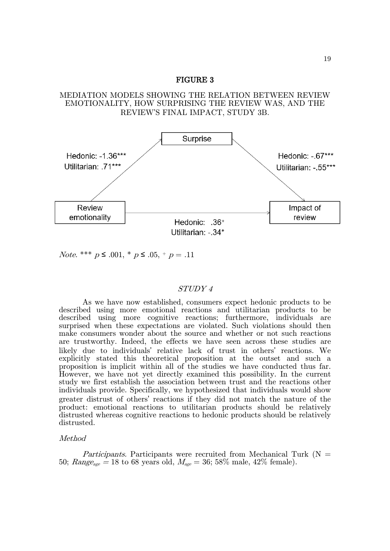# FIGURE 3<br>MEDIATION MODELS SHOWING THE RELATION BETWEEN REVIEW EMOTIONALITY, HOW SURPRISING THE REVIEW WAS, AND THE REVIEW'S FINAL IMPACT, STUDY 3B.



*Note.* \*\*\* *p* ≤ .001, \* *p* ≤ .05, + *p* = .11

### STUDY 4

As we have now established, consumers expect hedonic products to be described using more emotional reactions and utilitarian products to be described using more cognitive reactions; furthermore, individuals are surprised when these expectations are violated. Such violations should then make consumers wonder about the source and whether or not such reactions are trustworthy. Indeed, the effects we have seen across these studies are likely due to individuals' relative lack of trust in others' reactions. We explicitly stated this theoretical proposition at the outset and such a proposition is implicit within all of the studies we have conducted thus far. However, we have not yet directly examined this possibility. In the current study we first establish the association between trust and the reactions other individuals provide. Specifically, we hypothesized that individuals would show greater distrust of others' reactions if they did not match the nature of the product: emotional reactions to utilitarian products should be relatively distrusted whereas cognitive reactions to hedonic products should be relatively distrusted.

### Method

Participants. Participants were recruited from Mechanical Turk  $(N =$ 50;  $Range_{\text{age}} = 18$  to 68 years old,  $M_{\text{age}} = 36$ ; 58\% male, 42\% female).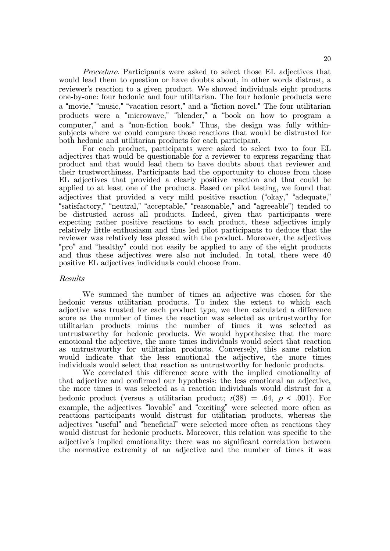Procedure. Participants were asked to select those EL adjectives that would lead them to question or have doubts about, in other words distrust, a reviewer's reaction to a given product. We showed individuals eight products one-by-one: four hedonic and four utilitarian. The four hedonic products were a "movie," "music," "vacation resort," and a "fiction novel." The four utilitarian products were a "microwave," "blender," a "book on how to program a computer," and a "non-fiction book." Thus, the design was fully withinsubjects where we could compare those reactions that would be distrusted for both hedonic and utilitarian products for each participant.

For each product, participants were asked to select two to four EL adjectives that would be questionable for a reviewer to express regarding that product and that would lead them to have doubts about that reviewer and their trustworthiness. Participants had the opportunity to choose from those EL adjectives that provided a clearly positive reaction and that could be applied to at least one of the products. Based on pilot testing, we found that adjectives that provided a very mild positive reaction ("okay," "adequate," "satisfactory," "neutral," "acceptable," "reasonable," and "agreeable") tended to be distrusted across all products. Indeed, given that participants were expecting rather positive reactions to each product, these adjectives imply relatively little enthusiasm and thus led pilot participants to deduce that the reviewer was relatively less pleased with the product. Moreover, the adjectives "pro" and "healthy" could not easily be applied to any of the eight products and thus these adjectives were also not included. In total, there were 40 positive EL adjectives individuals could choose from.

### Results

We summed the number of times an adjective was chosen for the hedonic versus utilitarian products. To index the extent to which each adjective was trusted for each product type, we then calculated a difference score as the number of times the reaction was selected as untrustworthy for utilitarian products minus the number of times it was selected as untrustworthy for hedonic products. We would hypothesize that the more emotional the adjective, the more times individuals would select that reaction as untrustworthy for utilitarian products. Conversely, this same relation would indicate that the less emotional the adjective, the more times individuals would select that reaction as untrustworthy for hedonic products.

We correlated this difference score with the implied emotionality of that adjective and confirmed our hypothesis: the less emotional an adjective, the more times it was selected as a reaction individuals would distrust for a hedonic product (versus a utilitarian product:  $r(38) = .64$ ,  $p < .001$ ). For example, the adjectives "lovable" and "exciting" were selected more often as reactions participants would distrust for utilitarian products, whereas the adjectives "useful" and "beneficial" were selected more often as reactions they would distrust for hedonic products. Moreover, this relation was specific to the adjective's implied emotionality: there was no significant correlation between the normative extremity of an adjective and the number of times it was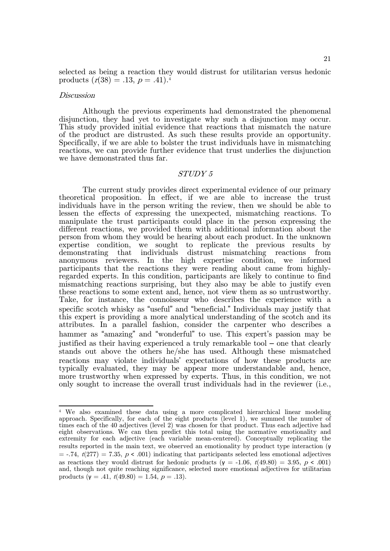selected as being a reaction they would distrust for utilitarian versus hedonic products  $(r(38) = .13, p = .41).4$  $(r(38) = .13, p = .41).4$  $(r(38) = .13, p = .41).4$ 

### Discussion

Although the previous experiments had demonstrated the phenomenal disjunction, they had yet to investigate why such a disjunction may occur. This study provided initial evidence that reactions that mismatch the nature of the product are distrusted. As such these results provide an opportunity. Specifically, if we are able to bolster the trust individuals have in mismatching reactions, we can provide further evidence that trust underlies the disjunction we have demonstrated thus far.

### STUDY 5

The current study provides direct experimental evidence of our primary theoretical proposition. In effect, if we are able to increase the trust individuals have in the person writing the review, then we should be able to lessen the effects of expressing the unexpected, mismatching reactions. To manipulate the trust participants could place in the person expressing the different reactions, we provided them with additional information about the person from whom they would be hearing about each product. In the unknown expertise condition, we sought to replicate the previous results by demonstrating that individuals distrust mismatching reactions from mismatching reactions from anonymous reviewers. In the high expertise condition, we informed participants that the reactions they were reading about came from highlyregarded experts. In this condition, participants are likely to continue to find mismatching reactions surprising, but they also may be able to justify even these reactions to some extent and, hence, not view them as so untrustworthy. Take, for instance, the connoisseur who describes the experience with a specific scotch whisky as "useful" and "beneficial." Individuals may justify that this expert is providing a more analytical understanding of the scotch and its attributes. In a parallel fashion, consider the carpenter who describes a hammer as "amazing" and "wonderful" to use. This expert's passion may be justified as their having experienced a truly remarkable tool – one that clearly stands out above the others he/she has used. Although these mismatched reactions may violate individuals' expectations of how these products are typically evaluated, they may be appear more understandable and, hence, more trustworthy when expressed by experts. Thus, in this condition, we not only sought to increase the overall trust individuals had in the reviewer (i.e.,

<span id="page-20-0"></span><sup>&</sup>lt;u>.</u> <sup>4</sup> We also examined these data using a more complicated hierarchical linear modeling approach. Specifically, for each of the eight products (level 1), we summed the number of times each of the 40 adjectives (level 2) was chosen for that product. Thus each adjective had eight observations. We can then predict this total using the normative emotionality and extremity for each adjective (each variable mean-centered). Conceptually replicating the results reported in the main text, we observed an emotionality by product type interaction ( $\gamma$  $=$  -.74,  $t(277) = 7.35$ ,  $p < .001$ ) indicating that participants selected less emotional adjectives as reactions they would distrust for hedonic products ( $y = -1.06$ ,  $t(49.80) = 3.95$ ,  $p < .001$ ) and, though not quite reaching significance, selected more emotional adjectives for utilitarian products ( $y = .41$ ,  $t(49.80) = 1.54$ ,  $p = .13$ ).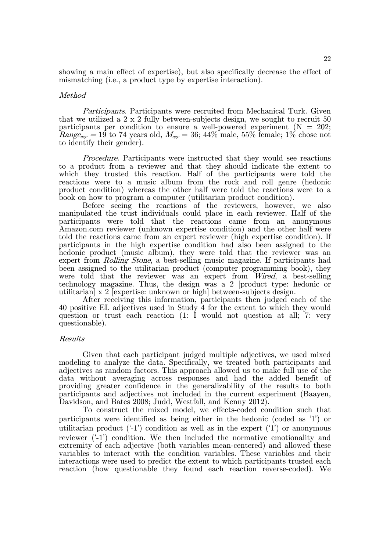showing a main effect of expertise), but also specifically decrease the effect of mismatching (i.e., a product type by expertise interaction).

### Method

Participants. Participants were recruited from Mechanical Turk. Given that we utilized a  $2 \times 2$  fully between-subjects design, we sought to recruit 50 participants per condition to ensure a well-powered experiment  $(N = 202$ ;  $Range_{\text{age}} = 19$  to 74 years old,  $M_{\text{age}} = 36$ ; 44% male, 55% female; 1% chose not to identify their gender).

Procedure. Participants were instructed that they would see reactions to a product from a reviewer and that they should indicate the extent to which they trusted this reaction. Half of the participants were told the reactions were to a music album from the rock and roll genre (hedonic product condition) whereas the other half were told the reactions were to a book on how to program a computer (utilitarian product condition).

Before seeing the reactions of the reviewers, however, we also manipulated the trust individuals could place in each reviewer. Half of the participants were told that the reactions came from an anonymous Amazon.com reviewer (unknown expertise condition) and the other half were told the reactions came from an expert reviewer (high expertise condition). If participants in the high expertise condition had also been assigned to the hedonic product (music album), they were told that the reviewer was an expert from Rolling Stone, a best-selling music magazine. If participants had been assigned to the utilitarian product (computer programming book), they were told that the reviewer was an expert from Wired, a best-selling technology magazine. Thus, the design was a 2 [product type: hedonic or utilitarian] x 2 [expertise: unknown or high] between-subjects design.

After receiving this information, participants then judged each of the 40 positive EL adjectives used in Study 4 for the extent to which they would question or trust each reaction (1: I would not question at all; 7: very questionable).

### Results

Given that each participant judged multiple adjectives, we used mixed modeling to analyze the data. Specifically, we treated both participants and adjectives as random factors. This approach allowed us to make full use of the data without averaging across responses and had the added benefit of providing greater confidence in the generalizability of the results to both participants and adjectives not included in the current experiment (Baayen, Davidson, and Bates 2008; Judd, Westfall, and Kenny 2012).

To construct the mixed model, we effects-coded condition such that participants were identified as being either in the hedonic (coded as '1') or utilitarian product  $('-1')$  condition as well as in the expert  $('1')$  or anonymous reviewer ('-1') condition. We then included the normative emotionality and extremity of each adjective (both variables mean-centered) and allowed these variables to interact with the condition variables. These variables and their interactions were used to predict the extent to which participants trusted each reaction (how questionable they found each reaction reverse-coded). We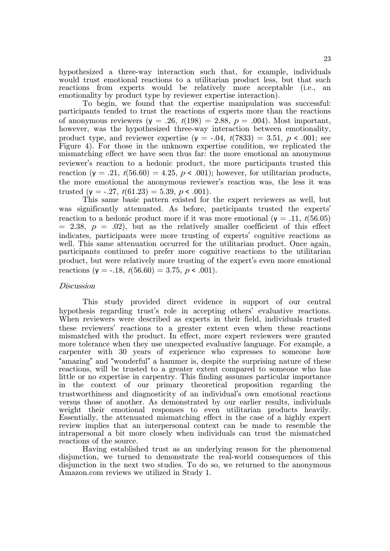hypothesized a three-way interaction such that, for example, individuals would trust emotional reactions to a utilitarian product less, but that such reactions from experts would be relatively more acceptable (i.e., an emotionality by product type by reviewer expertise interaction).

To begin, we found that the expertise manipulation was successful: participants tended to trust the reactions of experts more than the reactions of anonymous reviewers ( $y = .26$ ,  $t(198) = 2.88$ ,  $p = .004$ ). Most important, however, was the hypothesized three-way interaction between emotionality, product type, and reviewer expertise ( $\gamma = -.04, t(7833) = 3.51, p < .001$ ; see Figure 4). For those in the unknown expertise condition, we replicated the mismatching effect we have seen thus far: the more emotional an anonymous reviewer's reaction to a hedonic product, the more participants trusted this reaction ( $\gamma = .21$ ,  $t(56.60) = 4.25$ ,  $p < .001$ ); however, for utilitarian products, the more emotional the anonymous reviewer's reaction was, the less it was trusted  $(\gamma = -.27, t(61.23) = 5.39, p < .001)$ .

This same basic pattern existed for the expert reviewers as well, but was significantly attenuated. As before, participants trusted the experts' reaction to a hedonic product more if it was more emotional ( $y = .11, t(56.05)$ )  $= 2.38, p = .02$ , but as the relatively smaller coefficient of this effect indicates, participants were more trusting of experts' cognitive reactions as well. This same attenuation occurred for the utilitarian product. Once again, participants continued to prefer more cognitive reactions to the utilitarian product, but were relatively more trusting of the expert's even more emotional reactions ( $y = -.18$ ,  $t(56.60) = 3.75$ ,  $p < .001$ ).

### Discussion

This study provided direct evidence in support of our central hypothesis regarding trust's role in accepting others' evaluative reactions. When reviewers were described as experts in their field, individuals trusted these reviewers' reactions to a greater extent even when these reactions mismatched with the product. In effect, more expert reviewers were granted more tolerance when they use unexpected evaluative language. For example, a carpenter with 30 years of experience who expresses to someone how "amazing" and "wonderful" a hammer is, despite the surprising nature of these reactions, will be trusted to a greater extent compared to someone who has little or no expertise in carpentry. This finding assumes particular importance in the context of our primary theoretical proposition regarding the trustworthiness and diagnosticity of an individual's own emotional reactions versus those of another. As demonstrated by our earlier results, individuals weight their emotional responses to even utilitarian products heavily. Essentially, the attenuated mismatching effect in the case of a highly expert review implies that an interpersonal context can be made to resemble the intrapersonal a bit more closely when individuals can trust the mismatched reactions of the source.

Having established trust as an underlying reason for the phenomenal disjunction, we turned to demonstrate the real-world consequences of this disjunction in the next two studies. To do so, we returned to the anonymous Amazon.com reviews we utilized in Study 1.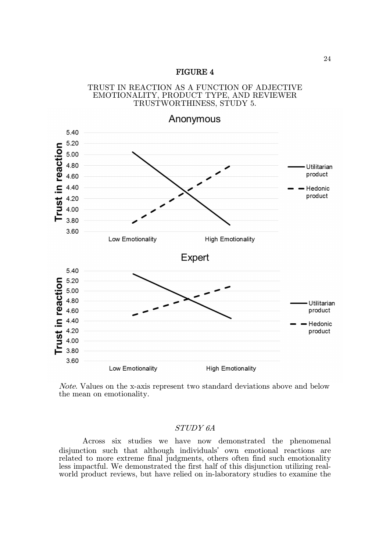# TRUST IN REACTION AS A FUNCTION OF ADJECTIVE EMOTIONALITY, PRODUCT TYPE, AND REVIEWER TRUSTWORTHINESS, STUDY 5.



Note. Values on the x-axis represent two standard deviations above and below the mean on emotionality.

# STUDY 6A

Across six studies we have now demonstrated the phenomenal disjunction such that although individuals' own emotional reactions are related to more extreme final judgments, others often find such emotionality less impactful. We demonstrated the first half of this disjunction utilizing realworld product reviews, but have relied on in-laboratory studies to examine the

# FIGURE 4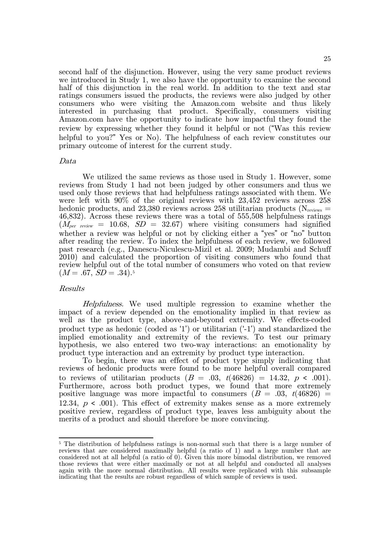second half of the disjunction. However, using the very same product reviews we introduced in Study 1, we also have the opportunity to examine the second half of this disjunction in the real world. In addition to the text and star ratings consumers issued the products, the reviews were also judged by other consumers who were visiting the Amazon.com website and thus likely interested in purchasing that product. Specifically, consumers visiting Amazon.com have the opportunity to indicate how impactful they found the review by expressing whether they found it helpful or not ("Was this review helpful to you?" Yes or No). The helpfulness of each review constitutes our primary outcome of interest for the current study.

### Data

We utilized the same reviews as those used in Study 1. However, some reviews from Study 1 had not been judged by other consumers and thus we used only those reviews that had helpfulness ratings associated with them. We were left with 90% of the original reviews with 23,452 reviews across 258 hedonic products, and 23,380 reviews across 258 utilitarian products ( $N_{\text{reviews}} =$ 46,832). Across these reviews there was a total of 555,508 helpfulness ratings  $(M_{per}$ <sub>review</sub> = 10.68,  $SD = 32.67$ ) where visiting consumers had signified whether a review was helpful or not by clicking either a "yes" or "no" button after reading the review. To index the helpfulness of each review, we followed past research (e.g., Danescu-Niculescu-Mizil et al. 2009; Mudambi and Schuff 2010) and calculated the proportion of visiting consumers who found that review helpful out of the total number of consumers who voted on that review  $(M = .67, SD = .34).$ <sup>[5](#page-24-0)</sup>

### Results

 $\overline{\phantom{a}}$ 

Helpfulness. We used multiple regression to examine whether the impact of a review depended on the emotionality implied in that review as well as the product type, above-and-beyond extremity. We effects-coded product type as hedonic (coded as '1') or utilitarian ('-1') and standardized the implied emotionality and extremity of the reviews. To test our primary hypothesis, we also entered two two-way interactions: an emotionality by product type interaction and an extremity by product type interaction.

To begin, there was an effect of product type simply indicating that reviews of hedonic products were found to be more helpful overall compared to reviews of utilitarian products  $(B = .03, t(46826) = 14.32, p < .001)$ . Furthermore, across both product types, we found that more extremely positive language was more impactful to consumers  $(B = .03, t(46826))$ 12.34,  $p \leq 0.001$ . This effect of extremity makes sense as a more extremely positive review, regardless of product type, leaves less ambiguity about the merits of a product and should therefore be more convincing.

<span id="page-24-0"></span><sup>&</sup>lt;sup>5</sup> The distribution of helpfulness ratings is non-normal such that there is a large number of reviews that are considered maximally helpful (a ratio of 1) and a large number that are considered not at all helpful (a ratio of 0). Given this more bimodal distribution, we removed those reviews that were either maximally or not at all helpful and conducted all analyses again with the more normal distribution. All results were replicated with this subsample indicating that the results are robust regardless of which sample of reviews is used.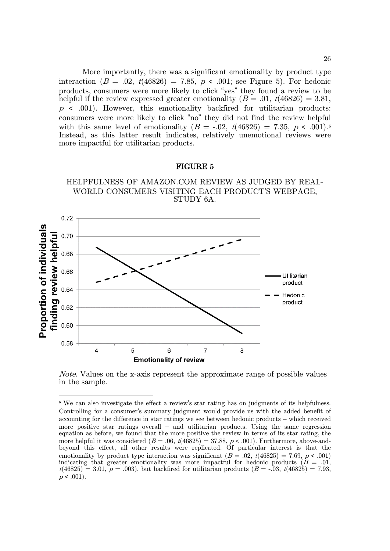More importantly, there was a significant emotionality by product type interaction  $(B = .02, t(46826) = 7.85, p < .001$ ; see Figure 5). For hedonic products, consumers were more likely to click "yes" they found a review to be helpful if the review expressed greater emotionality  $(B = .01, t(46826) = 3.81,$  $p \leq .001$ ). However, this emotionality backfired for utilitarian products: consumers were more likely to click "no" they did not find the review helpful with this same level of emotionality  $(B = -0.02, t(46826)) = 7.35, p < .001$  $(B = -0.02, t(46826)) = 7.35, p < .001$  $(B = -0.02, t(46826)) = 7.35, p < .001$ .<sup>6</sup> Instead, as this latter result indicates, relatively unemotional reviews were more impactful for utilitarian products.

FIGURE 5<br>HELPFULNESS OF AMAZON.COM REVIEW AS JUDGED BY REAL-WORLD CONSUMERS VISITING EACH PRODUCT'S WEBPAGE, STUDY 6A.



 $\overline{\phantom{a}}$ 

Note. Values on the x-axis represent the approximate range of possible values in the sample.

<span id="page-25-0"></span><sup>6</sup> We can also investigate the effect a review's star rating has on judgments of its helpfulness. Controlling for a consumer's summary judgment would provide us with the added benefit of accounting for the difference in star ratings we see between hedonic products – which received more positive star ratings overall – and utilitarian products. Using the same regression equation as before, we found that the more positive the review in terms of its star rating, the more helpful it was considered  $(B = .06, t(46825) = 37.88, p < .001)$ . Furthermore, above-andbeyond this effect, all other results were replicated. Of particular interest is that the emotionality by product type interaction was significant  $(B = .02, t(46825) = 7.69, p < .001)$ indicating that greater emotionality was more impactful for hedonic products  $(B = .01)$ ,  $t(46825) = 3.01, p = .003$ , but backfired for utilitarian products  $(B = .03, t(46825) = 7.93,$  $p < .001$ ).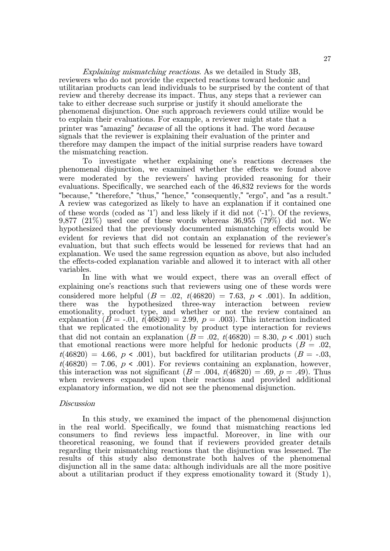Explaining mismatching reactions. As we detailed in Study 3B, reviewers who do not provide the expected reactions toward hedonic and utilitarian products can lead individuals to be surprised by the content of that review and thereby decrease its impact. Thus, any steps that a reviewer can take to either decrease such surprise or justify it should ameliorate the phenomenal disjunction. One such approach reviewers could utilize would be to explain their evaluations. For example, a reviewer might state that a printer was "amazing" because of all the options it had. The word because signals that the reviewer is explaining their evaluation of the printer and therefore may dampen the impact of the initial surprise readers have toward the mismatching reaction.

To investigate whether explaining one's reactions decreases the phenomenal disjunction, we examined whether the effects we found above were moderated by the reviewers' having provided reasoning for their evaluations. Specifically, we searched each of the 46,832 reviews for the words "because," "therefore," "thus," "hence," "consequently," "ergo", and "as a result." A review was categorized as likely to have an explanation if it contained one of these words (coded as '1') and less likely if it did not ('-1'). Of the reviews, 9,877 (21\%) used one of these words whereas  $36,955$  (79\%) did not. We hypothesized that the previously documented mismatching effects would be evident for reviews that did not contain an explanation of the reviewer's evaluation, but that such effects would be lessened for reviews that had an explanation. We used the same regression equation as above, but also included the effects-coded explanation variable and allowed it to interact with all other variables.

In line with what we would expect, there was an overall effect of explaining one's reactions such that reviewers using one of these words were considered more helpful  $(B = .02, t(46820) = 7.63, p < .001)$ . In addition, there was the hypothesized three-way interaction between review emotionality, product type, and whether or not the review contained an explanation  $(B = -0.01, t(46820) = 2.99, p = 0.003)$ . This interaction indicated that we replicated the emotionality by product type interaction for reviews that did not contain an explanation  $(B = .02, t(46820) = 8.30, p < .001)$  such that emotional reactions were more helpful for hedonic products  $(B = .02, )$  $t(46820) = 4.66$ ,  $p < .001$ , but backfired for utilitarian products ( $B = -.03$ ,  $t(46820) = 7.06, p < .001$ . For reviews containing an explanation, however, this interaction was not significant  $(B = .004, t(46820) = .69, p = .49)$ . Thus when reviewers expanded upon their reactions and provided additional explanatory information, we did not see the phenomenal disjunction.

### Discussion

In this study, we examined the impact of the phenomenal disjunction in the real world. Specifically, we found that mismatching reactions led consumers to find reviews less impactful. Moreover, in line with our theoretical reasoning, we found that if reviewers provided greater details regarding their mismatching reactions that the disjunction was lessened. The results of this study also demonstrate both halves of the phenomenal disjunction all in the same data: although individuals are all the more positive about a utilitarian product if they express emotionality toward it (Study 1),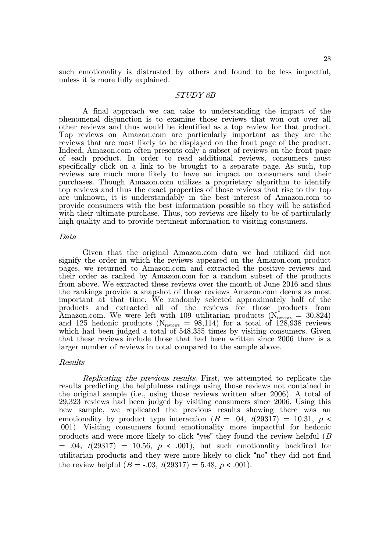such emotionality is distrusted by others and found to be less impactful, unless it is more fully explained.

### STUDY 6B

A final approach we can take to understanding the impact of the phenomenal disjunction is to examine those reviews that won out over all other reviews and thus would be identified as a top review for that product. Top reviews on Amazon.com are particularly important as they are the reviews that are most likely to be displayed on the front page of the product. Indeed, Amazon.com often presents only a subset of reviews on the front page of each product. In order to read additional reviews, consumers must specifically click on a link to be brought to a separate page. As such, top reviews are much more likely to have an impact on consumers and their purchases. Though Amazon.com utilizes a proprietary algorithm to identify top reviews and thus the exact properties of those reviews that rise to the top are unknown, it is understandably in the best interest of Amazon.com to provide consumers with the best information possible so they will be satisfied with their ultimate purchase. Thus, top reviews are likely to be of particularly high quality and to provide pertinent information to visiting consumers.

### Data

Given that the original Amazon.com data we had utilized did not signify the order in which the reviews appeared on the Amazon.com product pages, we returned to Amazon.com and extracted the positive reviews and their order as ranked by Amazon.com for a random subset of the products from above. We extracted these reviews over the month of June 2016 and thus the rankings provide a snapshot of those reviews Amazon.com deems as most important at that time. We randomly selected approximately half of the products and extracted all of the reviews for those products from Amazon.com. We were left with 109 utilitarian products  $(N_{\text{reviews}} = 30,824)$ and 125 hedonic products ( $N_{\text{reviews}} = 98,114$ ) for a total of 128,938 reviews which had been judged a total of 548,355 times by visiting consumers. Given that these reviews include those that had been written since 2006 there is a larger number of reviews in total compared to the sample above.

### Results

Replicating the previous results. First, we attempted to replicate the results predicting the helpfulness ratings using those reviews not contained in the original sample (i.e., using those reviews written after 2006). A total of 29,323 reviews had been judged by visiting consumers since 2006. Using this new sample, we replicated the previous results showing there was an emotionality by product type interaction  $(B = .04, t(29317) = 10.31, p \le$ .001). Visiting consumers found emotionality more impactful for hedonic products and were more likely to click "yes" they found the review helpful  $(B)$  $= .04, t(29317) = 10.56, p < .001$ , but such emotionality backfired for utilitarian products and they were more likely to click "no" they did not find the review helpful  $(B = -0.03, t(29317) = 5.48, p < .001)$ .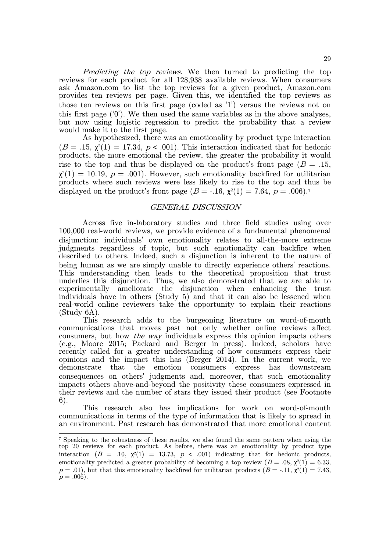Predicting the top reviews. We then turned to predicting the top reviews for each product for all 128,938 available reviews. When consumers ask Amazon.com to list the top reviews for a given product, Amazon.com provides ten reviews per page. Given this, we identified the top reviews as those ten reviews on this first page (coded as '1') versus the reviews not on this first page ('0'). We then used the same variables as in the above analyses, but now using logistic regression to predict the probability that a review would make it to the first page.

As hypothesized, there was an emotionality by product type interaction  $(B = .15, \gamma^2(1) = 17.34, \ p < .001)$ . This interaction indicated that for hedonic products, the more emotional the review, the greater the probability it would rise to the top and thus be displayed on the product's front page  $(B = .15, )$  $\chi^2(1) = 10.19$ ,  $p = .001$ ). However, such emotionality backfired for utilitarian products where such reviews were less likely to rise to the top and thus be displayed on the product's front page  $(B = -.16, \chi^2(1) = 7.64, p = .006)$  $(B = -.16, \chi^2(1) = 7.64, p = .006)$  $(B = -.16, \chi^2(1) = 7.64, p = .006)$ .

### GENERAL DISCUSSION

Across five in-laboratory studies and three field studies using over 100,000 real-world reviews, we provide evidence of a fundamental phenomenal disjunction: individuals' own emotionality relates to all-the-more extreme judgments regardless of topic, but such emotionality can backfire when described to others. Indeed, such a disjunction is inherent to the nature of being human as we are simply unable to directly experience others' reactions. This understanding then leads to the theoretical proposition that trust underlies this disjunction. Thus, we also demonstrated that we are able to experimentally ameliorate the disjunction when enhancing the trust individuals have in others (Study 5) and that it can also be lessened when real-world online reviewers take the opportunity to explain their reactions (Study 6A). This research adds to the burgeoning literature on word-of-mouth

communications that moves past not only whether online reviews affect consumers, but how the way individuals express this opinion impacts others (e.g., Moore 2015; Packard and Berger in press). Indeed, scholars have recently called for a greater understanding of how consumers express their opinions and the impact this has (Berger 2014). In the current work, we demonstrate that the emotion consumers express has downstream consequences on others' judgments and, moreover, that such emotionality impacts others above-and-beyond the positivity these consumers expressed in their reviews and the number of stars they issued their product (see Footnote 6).

This research also has implications for work on word-of-mouth communications in terms of the type of information that is likely to spread in an environment. Past research has demonstrated that more emotional content

<span id="page-28-0"></span>**<sup>.</sup>** <sup>7</sup> Speaking to the robustness of these results, we also found the same pattern when using the top 20 reviews for each product. As before, there was an emotionality by product type interaction  $(B = .10, \chi^2(1) = 13.73, p < .001)$  indicating that for hedonic products, emotionality predicted a greater probability of becoming a top review  $(B = .08, \chi^2(1) = 6.33, \chi^2(1) = .08$  $p = .01$ , but that this emotionality backfired for utilitarian products  $(B = .11, \chi^2(1) = 7.43,$  $p = .006$ ).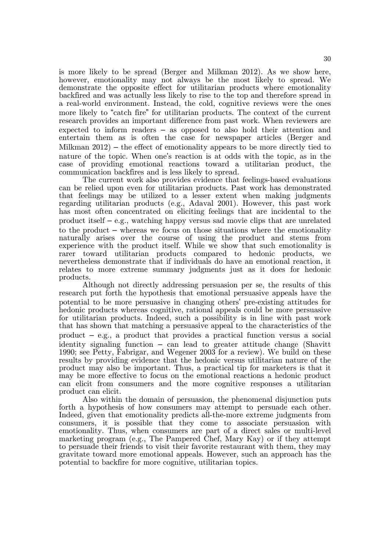is more likely to be spread (Berger and Milkman 2012). As we show here, however, emotionality may not always be the most likely to spread. We demonstrate the opposite effect for utilitarian products where emotionality backfired and was actually less likely to rise to the top and therefore spread in a real-world environment. Instead, the cold, cognitive reviews were the ones more likely to "catch fire" for utilitarian products. The context of the current research provides an important difference from past work. When reviewers are expected to inform readers – as opposed to also hold their attention and entertain them as is often the case for newspaper articles (Berger and Milkman 2012) – the effect of emotionality appears to be more directly tied to nature of the topic. When one's reaction is at odds with the topic, as in the case of providing emotional reactions toward a utilitarian product, the communication backfires and is less likely to spread.

The current work also provides evidence that feelings-based evaluations can be relied upon even for utilitarian products. Past work has demonstrated that feelings may be utilized to a lesser extent when making judgments regarding utilitarian products (e.g., Adaval 2001). However, this past work has most often concentrated on eliciting feelings that are incidental to the product itself – e.g., watching happy versus sad movie clips that are unrelated to the product – whereas we focus on those situations where the emotionality naturally arises over the course of using the product and stems from experience with the product itself. While we show that such emotionality is rarer toward utilitarian products compared to hedonic products, we nevertheless demonstrate that if individuals do have an emotional reaction, it relates to more extreme summary judgments just as it does for hedonic products.

Although not directly addressing persuasion per se, the results of this research put forth the hypothesis that emotional persuasive appeals have the potential to be more persuasive in changing others' pre-existing attitudes for hedonic products whereas cognitive, rational appeals could be more persuasive for utilitarian products. Indeed, such a possibility is in line with past work that has shown that matching a persuasive appeal to the characteristics of the product – e.g., a product that provides a practical function versus a social identity signaling function – can lead to greater attitude change (Shavitt 1990; see Petty, Fabrigar, and Wegener 2003 for a review). We build on these results by providing evidence that the hedonic versus utilitarian nature of the product may also be important. Thus, a practical tip for marketers is that it may be more effective to focus on the emotional reactions a hedonic product can elicit from consumers and the more cognitive responses a utilitarian product can elicit.

Also within the domain of persuasion, the phenomenal disjunction puts forth a hypothesis of how consumers may attempt to persuade each other. Indeed, given that emotionality predicts all-the-more extreme judgments from consumers, it is possible that they come to associate persuasion with emotionality. Thus, when consumers are part of a direct sales or multi-level marketing program (e.g., The Pampered Chef, Mary Kay) or if they attempt to persuade their friends to visit their favorite restaurant with them, they may gravitate toward more emotional appeals. However, such an approach has the potential to backfire for more cognitive, utilitarian topics.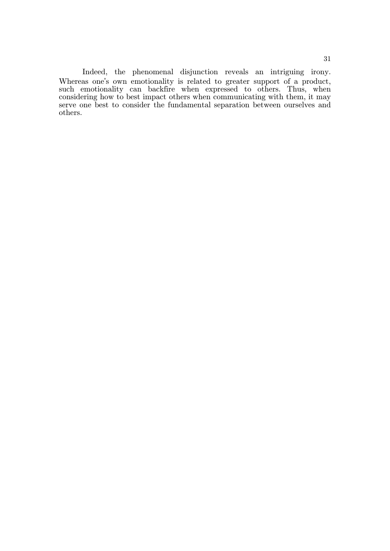Indeed, the phenomenal disjunction reveals an intriguing irony. Whereas one's own emotionality is related to greater support of a product, such emotionality can backfire when expressed to others. Thus, when considering how to best impact others when communicating with them, it may serve one best to consider the fundamental separation between ourselves and others.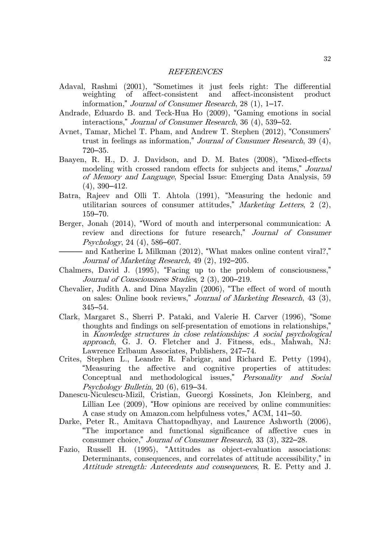### REFERENCES

- Adaval, Rashmi (2001), "Sometimes it just feels right: The differential weighting of affect-consistent and affect-inconsistent product information," Journal of Consumer Research, 28 (1), 1–17.
- Andrade, Eduardo B. and Teck-Hua Ho (2009), "Gaming emotions in social interactions," Journal of Consumer Research, 36 (4), 539–52.
- Avnet, Tamar, Michel T. Pham, and Andrew T. Stephen (2012), "Consumers' trust in feelings as information," Journal of Consumer Research, 39 (4), 720–35.
- Baayen, R. H., D. J. Davidson, and D. M. Bates (2008), "Mixed-effects modeling with crossed random effects for subjects and items," Journal of Memory and Language, Special Issue: Emerging Data Analysis, 59 (4), 390–412.
- Batra, Rajeev and Olli T. Ahtola (1991), "Measuring the hedonic and utilitarian sources of consumer attitudes," Marketing Letters, 2 (2), 159–70.
- Berger, Jonah (2014), "Word of mouth and interpersonal communication: A review and directions for future research," Journal of Consumer Psychology, 24 (4), 586–607.
	- and Katherine L Milkman (2012), "What makes online content viral?," Journal of Marketing Research, 49 (2), 192–205.
- Chalmers, David J. (1995), "Facing up to the problem of consciousness," Journal of Consciousness Studies, 2 (3), 200–219.
- Chevalier, Judith A. and Dina Mayzlin (2006), "The effect of word of mouth on sales: Online book reviews," Journal of Marketing Research, 43 (3), 345–54.
- Clark, Margaret S., Sherri P. Pataki, and Valerie H. Carver (1996), "Some thoughts and findings on self-presentation of emotions in relationships," in Knowledge structures in close relationships: A social psychological approach, G. J. O. Fletcher and J. Fitness, eds., Mahwah, NJ: Lawrence Erlbaum Associates, Publishers, 247–74.
- Crites, Stephen L., Leandre R. Fabrigar, and Richard E. Petty (1994), "Measuring the affective and cognitive properties of attitudes: Conceptual and methodological issues," Personality and Social Psychology Bulletin, 20 (6), 619–34.
- Danescu-Niculescu-Mizil, Cristian, Gueorgi Kossinets, Jon Kleinberg, and Lillian Lee (2009), "How opinions are received by online communities: A case study on Amazon.com helpfulness votes," ACM, 141–50.
- Darke, Peter R., Amitava Chattopadhyay, and Laurence Ashworth (2006), "The importance and functional significance of affective cues in consumer choice," Journal of Consumer Research, 33 (3), 322–28.
- Fazio, Russell H. (1995), "Attitudes as object-evaluation associations: Determinants, consequences, and correlates of attitude accessibility," in Attitude strength: Antecedents and consequences, R. E. Petty and J.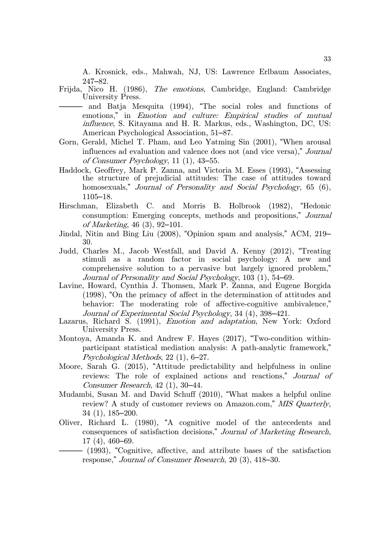A. Krosnick, eds., Mahwah, NJ, US: Lawrence Erlbaum Associates, 247–82.

- Frijda, Nico H. (1986), The emotions, Cambridge, England: Cambridge University Press.
	- ——— and Batja Mesquita (1994), "The social roles and functions of emotions," in Emotion and culture: Empirical studies of mutual influence, S. Kitayama and H. R. Markus, eds., Washington, DC, US: American Psychological Association, 51–87.
- Gorn, Gerald, Michel T. Pham, and Leo Yatming Sin (2001), "When arousal influences ad evaluation and valence does not (and vice versa)," Journal of Consumer Psychology, 11 (1), 43–55.
- Haddock, Geoffrey, Mark P. Zanna, and Victoria M. Esses (1993), "Assessing the structure of prejudicial attitudes: The case of attitudes toward homosexuals," Journal of Personality and Social Psychology, 65 (6), 1105–18.
- Hirschman, Elizabeth C. and Morris B. Holbrook (1982), "Hedonic consumption: Emerging concepts, methods and propositions," Journal of Marketing, 46 (3), 92–101.
- Jindal, Nitin and Bing Liu (2008), "Opinion spam and analysis," ACM, 219– 30.
- Judd, Charles M., Jacob Westfall, and David A. Kenny (2012), "Treating stimuli as a random factor in social psychology: A new and comprehensive solution to a pervasive but largely ignored problem," Journal of Personality and Social Psychology, 103 (1), 54–69.
- Lavine, Howard, Cynthia J. Thomsen, Mark P. Zanna, and Eugene Borgida (1998), "On the primacy of affect in the determination of attitudes and behavior: The moderating role of affective-cognitive ambivalence," Journal of Experimental Social Psychology, 34 (4), 398–421.
- Lazarus, Richard S. (1991), Emotion and adaptation, New York: Oxford University Press.
- Montoya, Amanda K. and Andrew F. Hayes (2017), "Two-condition withinparticipant statistical mediation analysis: A path-analytic framework," Psychological Methods, 22 (1), 6–27.
- Moore, Sarah G. (2015), "Attitude predictability and helpfulness in online reviews: The role of explained actions and reactions," Journal of Consumer Research, 42 (1), 30–44.
- Mudambi, Susan M. and David Schuff (2010), "What makes a helpful online review? A study of customer reviews on Amazon.com," MIS Quarterly, 34 (1), 185–200.
- Oliver, Richard L. (1980), "A cognitive model of the antecedents and consequences of satisfaction decisions," Journal of Marketing Research, 17 (4), 460–69.
	- $-$  (1993), "Cognitive, affective, and attribute bases of the satisfaction response," Journal of Consumer Research, 20 (3), 418–30.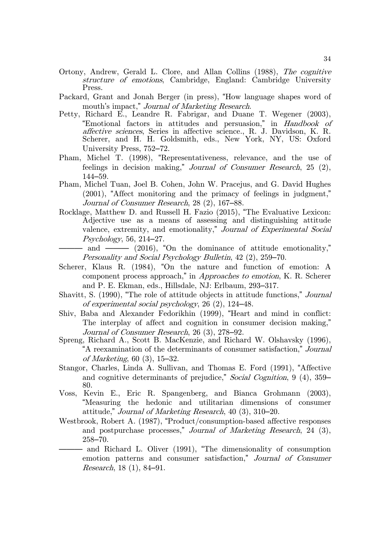- Ortony, Andrew, Gerald L. Clore, and Allan Collins (1988), The cognitive structure of emotions, Cambridge, England: Cambridge University Press.
- Packard, Grant and Jonah Berger (in press), "How language shapes word of mouth's impact," Journal of Marketing Research.
- Petty, Richard E., Leandre R. Fabrigar, and Duane T. Wegener (2003), "Emotional factors in attitudes and persuasion," in Handbook of affective sciences, Series in affective science., R. J. Davidson, K. R. Scherer, and H. H. Goldsmith, eds., New York, NY, US: Oxford University Press, 752–72.
- Pham, Michel T. (1998), "Representativeness, relevance, and the use of feelings in decision making," Journal of Consumer Research, 25 (2), 144–59.
- Pham, Michel Tuan, Joel B. Cohen, John W. Pracejus, and G. David Hughes (2001), "Affect monitoring and the primacy of feelings in judgment," Journal of Consumer Research, 28 (2), 167–88.
- Rocklage, Matthew D. and Russell H. Fazio (2015), "The Evaluative Lexicon: Adjective use as a means of assessing and distinguishing attitude valence, extremity, and emotionality," Journal of Experimental Social Psychology, 56, 214–27.
	- and  $\frac{1}{\sqrt{2016}}$ , "On the dominance of attitude emotionality," Personality and Social Psychology Bulletin, 42 (2), 259–70.
- Scherer, Klaus R. (1984), "On the nature and function of emotion: A component process approach," in Approaches to emotion, K. R. Scherer and P. E. Ekman, eds., Hillsdale, NJ: Erlbaum, 293–317.
- Shavitt, S. (1990), "The role of attitude objects in attitude functions," Journal of experimental social psychology, 26 (2), 124–48.
- Shiv, Baba and Alexander Fedorikhin (1999), "Heart and mind in conflict: The interplay of affect and cognition in consumer decision making," Journal of Consumer Research, 26 (3), 278–92.
- Spreng, Richard A., Scott B. MacKenzie, and Richard W. Olshavsky (1996), "A reexamination of the determinants of consumer satisfaction," Journal of Marketing, 60 (3), 15–32.
- Stangor, Charles, Linda A. Sullivan, and Thomas E. Ford (1991), "Affective and cognitive determinants of prejudice," Social Cognition, 9 (4), 359– 80.
- Voss, Kevin E., Eric R. Spangenberg, and Bianca Grohmann (2003), "Measuring the hedonic and utilitarian dimensions of consumer attitude," Journal of Marketing Research, 40 (3), 310–20.
- Westbrook, Robert A. (1987), "Product/consumption-based affective responses and postpurchase processes," Journal of Marketing Research, 24 (3), 258–70.
- $-$  and Richard L. Oliver (1991), "The dimensionality of consumption emotion patterns and consumer satisfaction," Journal of Consumer Research, 18 (1), 84–91.